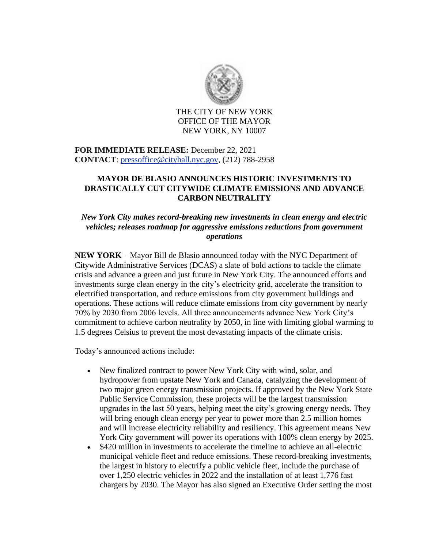

THE CITY OF NEW YORK OFFICE OF THE MAYOR NEW YORK, NY 10007

## **FOR IMMEDIATE RELEASE:** December 22, 2021 **CONTACT**: [pressoffice@cityhall.nyc.gov,](mailto:pressoffice@cityhall.nyc.gov) (212) 788-2958

## **MAYOR DE BLASIO ANNOUNCES HISTORIC INVESTMENTS TO DRASTICALLY CUT CITYWIDE CLIMATE EMISSIONS AND ADVANCE CARBON NEUTRALITY**

### *New York City makes record-breaking new investments in clean energy and electric vehicles; releases roadmap for aggressive emissions reductions from government operations*

**NEW YORK** – Mayor Bill de Blasio announced today with the NYC Department of Citywide Administrative Services (DCAS) a slate of bold actions to tackle the climate crisis and advance a green and just future in New York City. The announced efforts and investments surge clean energy in the city's electricity grid, accelerate the transition to electrified transportation, and reduce emissions from city government buildings and operations. These actions will reduce climate emissions from city government by nearly 70% by 2030 from 2006 levels. All three announcements advance New York City's commitment to achieve carbon neutrality by 2050, in line with limiting global warming to 1.5 degrees Celsius to prevent the most devastating impacts of the climate crisis.

Today's announced actions include:

- New finalized contract to power New York City with wind, solar, and hydropower from upstate New York and Canada, catalyzing the development of two major green energy transmission projects. If approved by the New York State Public Service Commission, these projects will be the largest transmission upgrades in the last 50 years, helping meet the city's growing energy needs. They will bring enough clean energy per year to power more than 2.5 million homes and will increase electricity reliability and resiliency. This agreement means New York City government will power its operations with 100% clean energy by 2025.
- \$420 million in investments to accelerate the timeline to achieve an all-electric municipal vehicle fleet and reduce emissions. These record-breaking investments, the largest in history to electrify a public vehicle fleet, include the purchase of over 1,250 electric vehicles in 2022 and the installation of at least 1,776 fast chargers by 2030. The Mayor has also signed an Executive Order setting the most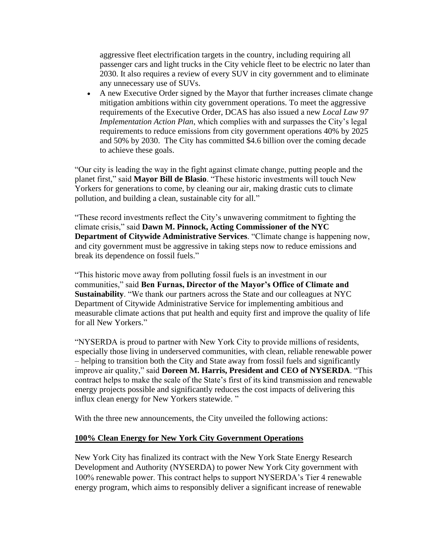aggressive fleet electrification targets in the country, including requiring all passenger cars and light trucks in the City vehicle fleet to be electric no later than 2030. It also requires a review of every SUV in city government and to eliminate any unnecessary use of SUVs.

• A new Executive Order signed by the Mayor that further increases climate change mitigation ambitions within city government operations. To meet the aggressive requirements of the Executive Order, DCAS has also issued a new *Local Law 97 Implementation Action Plan*, which complies with and surpasses the City's legal requirements to reduce emissions from city government operations 40% by 2025 and 50% by 2030. The City has committed \$4.6 billion over the coming decade to achieve these goals.

"Our city is leading the way in the fight against climate change, putting people and the planet first," said **Mayor Bill de Blasio**. "These historic investments will touch New Yorkers for generations to come, by cleaning our air, making drastic cuts to climate pollution, and building a clean, sustainable city for all."

"These record investments reflect the City's unwavering commitment to fighting the climate crisis," said **Dawn M. Pinnock, Acting Commissioner of the NYC Department of Citywide Administrative Services**. "Climate change is happening now, and city government must be aggressive in taking steps now to reduce emissions and break its dependence on fossil fuels."

"This historic move away from polluting fossil fuels is an investment in our communities," said **Ben Furnas, Director of the Mayor's Office of Climate and Sustainability**. "We thank our partners across the State and our colleagues at NYC Department of Citywide Administrative Service for implementing ambitious and measurable climate actions that put health and equity first and improve the quality of life for all New Yorkers."

"NYSERDA is proud to partner with New York City to provide millions of residents, especially those living in underserved communities, with clean, reliable renewable power – helping to transition both the City and State away from fossil fuels and significantly improve air quality," said **Doreen M. Harris, President and CEO of NYSERDA**. "This contract helps to make the scale of the State's first of its kind transmission and renewable energy projects possible and significantly reduces the cost impacts of delivering this influx clean energy for New Yorkers statewide. "

With the three new announcements, the City unveiled the following actions:

#### **100% Clean Energy for New York City Government Operations**

New York City has finalized its contract with the New York State Energy Research Development and Authority (NYSERDA) to power New York City government with 100% renewable power. This contract helps to support NYSERDA's Tier 4 renewable energy program, which aims to responsibly deliver a significant increase of renewable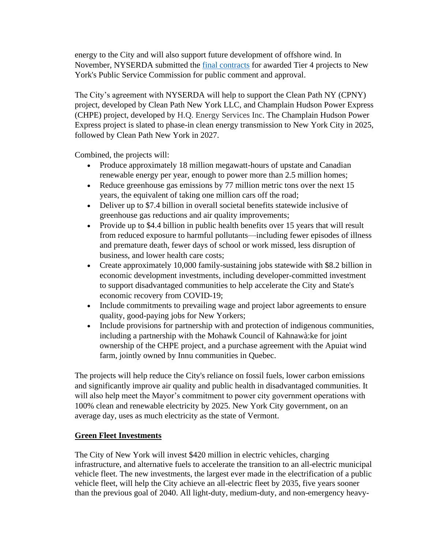energy to the City and will also support future development of offshore wind. In November, NYSERDA submitted the [final contracts](https://gcc02.safelinks.protection.outlook.com/?url=https%3A%2F%2Fwww.nyserda.ny.gov%2FAbout%2FNewsroom%2F2021-Announcements%2F2021-11-30-Clean-Path-NY-Champlain-Hudson-Power-Express-Renewable-Energy&data=04%7C01%7CERICHARD%40dcas.nyc.gov%7C395539bad9114024da0608d9c58f05d2%7C32f56fc75f814e22a95b15da66513bef%7C0%7C0%7C637758040325695640%7CUnknown%7CTWFpbGZsb3d8eyJWIjoiMC4wLjAwMDAiLCJQIjoiV2luMzIiLCJBTiI6Ik1haWwiLCJXVCI6Mn0%3D%7C3000&sdata=EUT3%2F6Xz4qzgPTHv6CKsSrePUFXmRHpI%2ByyVBNejDqk%3D&reserved=0) for awarded Tier 4 projects to New York's Public Service Commission for public comment and approval.

The City's agreement with NYSERDA will help to support the Clean Path NY (CPNY) project, developed by Clean Path New York LLC, and Champlain Hudson Power Express (CHPE) project, developed by H.Q. Energy Services Inc. The Champlain Hudson Power Express project is slated to phase-in clean energy transmission to New York City in 2025, followed by Clean Path New York in 2027.

Combined, the projects will:

- Produce approximately 18 million megawatt-hours of upstate and Canadian renewable energy per year, enough to power more than 2.5 million homes;
- Reduce greenhouse gas emissions by 77 million metric tons over the next 15 years, the equivalent of taking one million cars off the road;
- Deliver up to \$7.4 billion in overall societal benefits statewide inclusive of greenhouse gas reductions and air quality improvements;
- Provide up to \$4.4 billion in public health benefits over 15 years that will result from reduced exposure to harmful pollutants—including fewer episodes of illness and premature death, fewer days of school or work missed, less disruption of business, and lower health care costs;
- Create approximately 10,000 family-sustaining jobs statewide with \$8.2 billion in economic development investments, including developer-committed investment to support disadvantaged communities to help accelerate the City and State's economic recovery from COVID-19;
- Include commitments to prevailing wage and project labor agreements to ensure quality, good-paying jobs for New Yorkers;
- Include provisions for partnership with and protection of indigenous communities, including a partnership with the Mohawk Council of Kahnawà:ke for joint ownership of the CHPE project, and a purchase agreement with the Apuiat wind farm, jointly owned by Innu communities in Quebec.

The projects will help reduce the City's reliance on fossil fuels, lower carbon emissions and significantly improve air quality and public health in disadvantaged communities. It will also help meet the Mayor's commitment to power city government operations with 100% clean and renewable electricity by 2025. New York City government, on an average day, uses as much electricity as the state of Vermont.

# **Green Fleet Investments**

The City of New York will invest \$420 million in electric vehicles, charging infrastructure, and alternative fuels to accelerate the transition to an all-electric municipal vehicle fleet. The new investments, the largest ever made in the electrification of a public vehicle fleet, will help the City achieve an all-electric fleet by 2035, five years sooner than the previous goal of 2040. All light-duty, medium-duty, and non-emergency heavy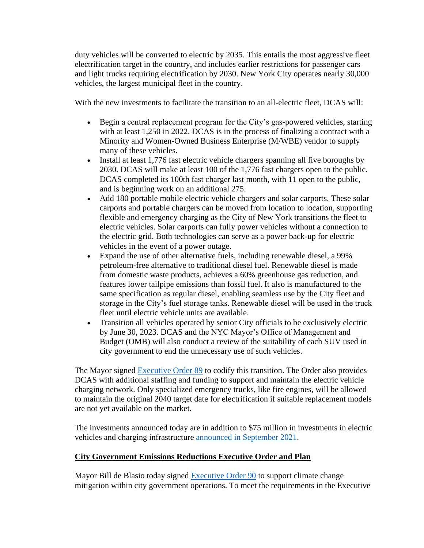duty vehicles will be converted to electric by 2035. This entails the most aggressive fleet electrification target in the country, and includes earlier restrictions for passenger cars and light trucks requiring electrification by 2030. New York City operates nearly 30,000 vehicles, the largest municipal fleet in the country.

With the new investments to facilitate the transition to an all-electric fleet, DCAS will:

- Begin a central replacement program for the City's gas-powered vehicles, starting with at least 1,250 in 2022. DCAS is in the process of finalizing a contract with a Minority and Women-Owned Business Enterprise (M/WBE) vendor to supply many of these vehicles.
- Install at least 1,776 fast electric vehicle chargers spanning all five boroughs by 2030. DCAS will make at least 100 of the 1,776 fast chargers open to the public. DCAS completed its 100th fast charger last month, with 11 open to the public, and is beginning work on an additional 275.
- Add 180 portable mobile electric vehicle chargers and solar carports. These solar carports and portable chargers can be moved from location to location, supporting flexible and emergency charging as the City of New York transitions the fleet to electric vehicles. Solar carports can fully power vehicles without a connection to the electric grid. Both technologies can serve as a power back-up for electric vehicles in the event of a power outage.
- Expand the use of other alternative fuels, including renewable diesel, a 99% petroleum-free alternative to traditional diesel fuel. Renewable diesel is made from domestic waste products, achieves a 60% greenhouse gas reduction, and features lower tailpipe emissions than fossil fuel. It also is manufactured to the same specification as regular diesel, enabling seamless use by the City fleet and storage in the City's fuel storage tanks. Renewable diesel will be used in the truck fleet until electric vehicle units are available.
- Transition all vehicles operated by senior City officials to be exclusively electric by June 30, 2023. DCAS and the NYC Mayor's Office of Management and Budget (OMB) will also conduct a review of the suitability of each SUV used in city government to end the unnecessary use of such vehicles.

The Mayor signed [Executive Order 89](https://gcc02.safelinks.protection.outlook.com/?url=https%3A%2F%2Fwww1.nyc.gov%2Foffice-of-the-mayor%2Fnews%2F089-000%2Fexecutive-order-89&data=04%7C01%7CERICHARD%40dcas.nyc.gov%7C395539bad9114024da0608d9c58f05d2%7C32f56fc75f814e22a95b15da66513bef%7C0%7C0%7C637758040325695640%7CUnknown%7CTWFpbGZsb3d8eyJWIjoiMC4wLjAwMDAiLCJQIjoiV2luMzIiLCJBTiI6Ik1haWwiLCJXVCI6Mn0%3D%7C3000&sdata=Yojfyk8dg%2BsvFGaFQxYhy0Nj1MyAy9loXZq9KbB9EkA%3D&reserved=0) to codify this transition. The Order also provides DCAS with additional staffing and funding to support and maintain the electric vehicle charging network. Only specialized emergency trucks, like fire engines, will be allowed to maintain the original 2040 target date for electrification if suitable replacement models are not yet available on the market.

The investments announced today are in addition to \$75 million in investments in electric vehicles and charging infrastructure [announced in September 2021.](https://gcc02.safelinks.protection.outlook.com/?url=https%3A%2F%2Fwww1.nyc.gov%2Foffice-of-the-mayor%2Fnews%2F639-21%2Fclimate-week-city-75-million-new-investments-electric-vehicles-electric&data=04%7C01%7CERICHARD%40dcas.nyc.gov%7C395539bad9114024da0608d9c58f05d2%7C32f56fc75f814e22a95b15da66513bef%7C0%7C0%7C637758040325695640%7CUnknown%7CTWFpbGZsb3d8eyJWIjoiMC4wLjAwMDAiLCJQIjoiV2luMzIiLCJBTiI6Ik1haWwiLCJXVCI6Mn0%3D%7C3000&sdata=h5uPdOWUt3kgB6pYW0rsu%2F1ijeL0N7TT07ttOxLtQf0%3D&reserved=0)

## **City Government Emissions Reductions Executive Order and Plan**

Mayor Bill de Blasio today signed [Executive Order 90](https://gcc02.safelinks.protection.outlook.com/?url=https%3A%2F%2Fwww1.nyc.gov%2Foffice-of-the-mayor%2Fnews%2F090-000%2Fexecutive-order-90&data=04%7C01%7CERICHARD%40dcas.nyc.gov%7C395539bad9114024da0608d9c58f05d2%7C32f56fc75f814e22a95b15da66513bef%7C0%7C0%7C637758040325695640%7CUnknown%7CTWFpbGZsb3d8eyJWIjoiMC4wLjAwMDAiLCJQIjoiV2luMzIiLCJBTiI6Ik1haWwiLCJXVCI6Mn0%3D%7C3000&sdata=B6WN7aBDvtOT2xwG6ZrjWhY%2BMReNmMFdLnJXznxL0Xo%3D&reserved=0) to support climate change mitigation within city government operations. To meet the requirements in the Executive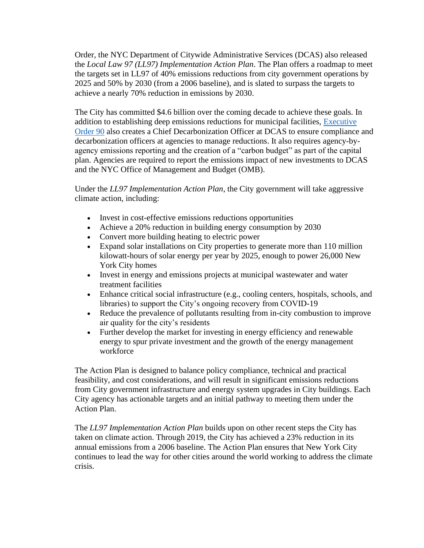Order, the NYC Department of Citywide Administrative Services (DCAS) also released the *Local Law 97 (LL97) Implementation Action Plan*. The Plan offers a roadmap to meet the targets set in LL97 of 40% emissions reductions from city government operations by 2025 and 50% by 2030 (from a 2006 baseline), and is slated to surpass the targets to achieve a nearly 70% reduction in emissions by 2030.

The City has committed \$4.6 billion over the coming decade to achieve these goals. In addition to establishing deep emissions reductions for municipal facilities, Executive [Order 90](https://gcc02.safelinks.protection.outlook.com/?url=https%3A%2F%2Fwww1.nyc.gov%2Foffice-of-the-mayor%2Fnews%2F090-000%2Fexecutive-order-90&data=04%7C01%7CERICHARD%40dcas.nyc.gov%7C395539bad9114024da0608d9c58f05d2%7C32f56fc75f814e22a95b15da66513bef%7C0%7C0%7C637758040325695640%7CUnknown%7CTWFpbGZsb3d8eyJWIjoiMC4wLjAwMDAiLCJQIjoiV2luMzIiLCJBTiI6Ik1haWwiLCJXVCI6Mn0%3D%7C3000&sdata=B6WN7aBDvtOT2xwG6ZrjWhY%2BMReNmMFdLnJXznxL0Xo%3D&reserved=0) also creates a Chief Decarbonization Officer at DCAS to ensure compliance and decarbonization officers at agencies to manage reductions. It also requires agency-byagency emissions reporting and the creation of a "carbon budget" as part of the capital plan. Agencies are required to report the emissions impact of new investments to DCAS and the NYC Office of Management and Budget (OMB).

Under the *LL97 Implementation Action Plan*, the City government will take aggressive climate action, including:

- Invest in cost-effective emissions reductions opportunities
- Achieve a 20% reduction in building energy consumption by 2030
- Convert more building heating to electric power
- Expand solar installations on City properties to generate more than 110 million kilowatt-hours of solar energy per year by 2025, enough to power 26,000 New York City homes
- Invest in energy and emissions projects at municipal wastewater and water treatment facilities
- Enhance critical social infrastructure (e.g., cooling centers, hospitals, schools, and libraries) to support the City's ongoing recovery from COVID-19
- Reduce the prevalence of pollutants resulting from in-city combustion to improve air quality for the city's residents
- Further develop the market for investing in energy efficiency and renewable energy to spur private investment and the growth of the energy management workforce

The Action Plan is designed to balance policy compliance, technical and practical feasibility, and cost considerations, and will result in significant emissions reductions from City government infrastructure and energy system upgrades in City buildings. Each City agency has actionable targets and an initial pathway to meeting them under the Action Plan.

The *LL97 Implementation Action Plan* builds upon on other recent steps the City has taken on climate action. Through 2019, the City has achieved a 23% reduction in its annual emissions from a 2006 baseline. The Action Plan ensures that New York City continues to lead the way for other cities around the world working to address the climate crisis.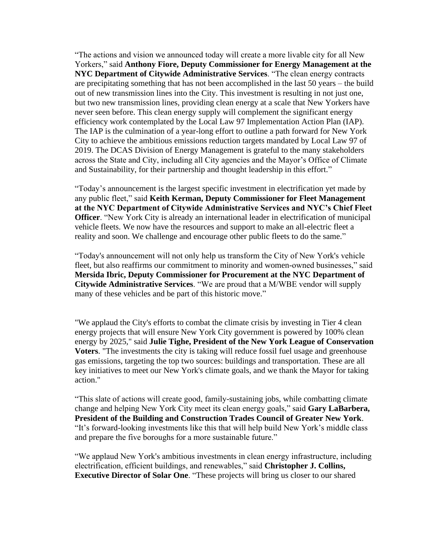"The actions and vision we announced today will create a more livable city for all New Yorkers," said **Anthony Fiore, Deputy Commissioner for Energy Management at the NYC Department of Citywide Administrative Services**. "The clean energy contracts are precipitating something that has not been accomplished in the last 50 years – the build out of new transmission lines into the City. This investment is resulting in not just one, but two new transmission lines, providing clean energy at a scale that New Yorkers have never seen before. This clean energy supply will complement the significant energy efficiency work contemplated by the Local Law 97 Implementation Action Plan (IAP). The IAP is the culmination of a year-long effort to outline a path forward for New York City to achieve the ambitious emissions reduction targets mandated by Local Law 97 of 2019. The DCAS Division of Energy Management is grateful to the many stakeholders across the State and City, including all City agencies and the Mayor's Office of Climate and Sustainability, for their partnership and thought leadership in this effort."

"Today's announcement is the largest specific investment in electrification yet made by any public fleet," said **Keith Kerman, Deputy Commissioner for Fleet Management at the NYC Department of Citywide Administrative Services and NYC's Chief Fleet Officer.** "New York City is already an international leader in electrification of municipal vehicle fleets. We now have the resources and support to make an all-electric fleet a reality and soon. We challenge and encourage other public fleets to do the same."

"Today's announcement will not only help us transform the City of New York's vehicle fleet, but also reaffirms our commitment to minority and women-owned businesses," said **Mersida Ibric, Deputy Commissioner for Procurement at the NYC Department of Citywide Administrative Services**. "We are proud that a M/WBE vendor will supply many of these vehicles and be part of this historic move."

"We applaud the City's efforts to combat the climate crisis by investing in Tier 4 clean energy projects that will ensure New York City government is powered by 100% clean energy by 2025," said **Julie Tighe, President of the New York League of Conservation Voters**. "The investments the city is taking will reduce fossil fuel usage and greenhouse gas emissions, targeting the top two sources: buildings and transportation. These are all key initiatives to meet our New York's climate goals, and we thank the Mayor for taking action."

"This slate of actions will create good, family-sustaining jobs, while combatting climate change and helping New York City meet its clean energy goals," said **Gary LaBarbera, President of the Building and Construction Trades Council of Greater New York**. "It's forward-looking investments like this that will help build New York's middle class and prepare the five boroughs for a more sustainable future."

"We applaud New York's ambitious investments in clean energy infrastructure, including electrification, efficient buildings, and renewables," said **Christopher J. Collins, Executive Director of Solar One**. "These projects will bring us closer to our shared